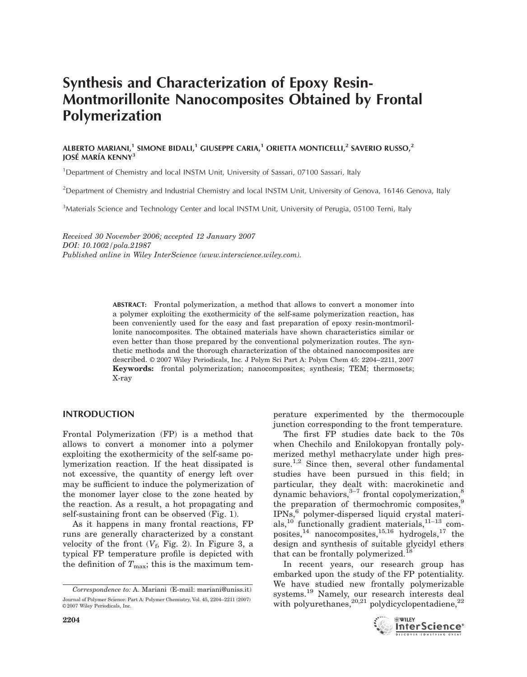# Synthesis and Characterization of Epoxy Resin-Montmorillonite Nanocomposites Obtained by Frontal Polymerization

# ALBERTO MARIANI,<sup>1</sup> SIMONE BIDALI,<sup>1</sup> GIUSEPPE CARIA,<sup>1</sup> ORIETTA MONTICELLI,<sup>2</sup> SAVERIO RUSSO,<sup>2</sup> JOSÉ MARÍA KENNY<sup>3</sup>

<sup>1</sup>Department of Chemistry and local INSTM Unit, University of Sassari, 07100 Sassari, Italy

<sup>2</sup>Department of Chemistry and Industrial Chemistry and local INSTM Unit, University of Genova, 16146 Genova, Italy

<sup>3</sup>Materials Science and Technology Center and local INSTM Unit, University of Perugia, 05100 Terni, Italy

Received 30 November 2006; accepted 12 January 2007 DOI: 10.1002/pola.21987 Published online in Wiley InterScience (www.interscience.wiley.com).

> ABSTRACT: Frontal polymerization, a method that allows to convert a monomer into a polymer exploiting the exothermicity of the self-same polymerization reaction, has been conveniently used for the easy and fast preparation of epoxy resin-montmorillonite nanocomposites. The obtained materials have shown characteristics similar or even better than those prepared by the conventional polymerization routes. The synthetic methods and the thorough characterization of the obtained nanocomposites are described. © 2007 Wiley Periodicals, Inc. J Polym Sci Part A: Polym Chem 45: 2204–2211, 2007 Keywords: frontal polymerization; nanocomposites; synthesis; TEM; thermosets; X-ray

# INTRODUCTION

Frontal Polymerization (FP) is a method that allows to convert a monomer into a polymer exploiting the exothermicity of the self-same polymerization reaction. If the heat dissipated is not excessive, the quantity of energy left over may be sufficient to induce the polymerization of the monomer layer close to the zone heated by the reaction. As a result, a hot propagating and self-sustaining front can be observed (Fig. 1).

As it happens in many frontal reactions, FP runs are generally characterized by a constant velocity of the front  $(V_f, Fig. 2)$ . In Figure 3, a typical FP temperature profile is depicted with the definition of  $T_{\text{max}}$ ; this is the maximum tem-

perature experimented by the thermocouple junction corresponding to the front temperature.

The first FP studies date back to the 70s when Chechilo and Enilokopyan frontally polymerized methyl methacrylate under high pressure.<sup>1,2</sup> Since then, several other fundamental studies have been pursued in this field; in particular, they dealt with: macrokinetic and dynamic behaviors,  $3-7$  frontal copolymerization,  $8$ the preparation of thermochromic composites,<sup>9</sup> IPNs,<sup>6</sup> polymer-dispersed liquid crystal materials,<sup>10</sup> functionally gradient materials, $11-13$  composites,  $^{14}$  nanocomposites,  $^{15,16}$  hydrogels,  $^{17}$  the design and synthesis of suitable glycidyl ethers that can be frontally polymerized.<sup>18</sup>

In recent years, our research group has embarked upon the study of the FP potentiality. We have studied new frontally polymerizable systems.<sup>19</sup> Namely, our research interests deal with polyurethanes,  $^{20,21}$  polydicyclopentadiene,  $^{22}$ 



Correspondence to: A. Mariani (E-mail: mariani@uniss.it) Journal of Polymer Science: Part A: Polymer Chemistry, Vol. 45, 2204–2211 (2007) ©2007 Wiley Periodicals, Inc.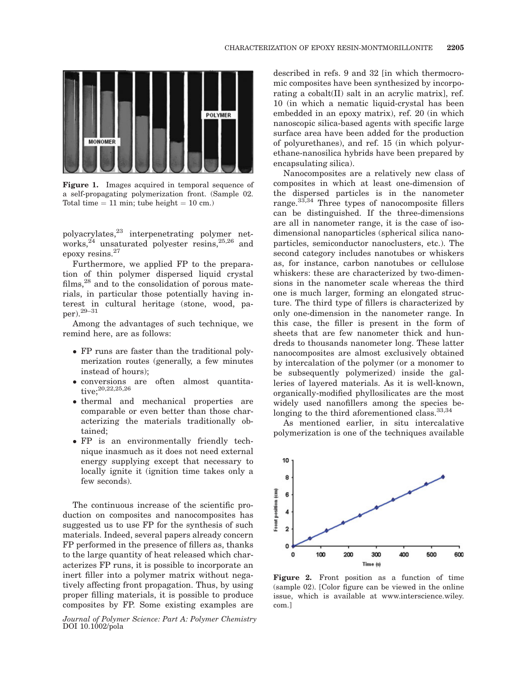

Figure 1. Images acquired in temporal sequence of a self-propagating polymerization front. (Sample 02. Total time  $= 11$  min; tube height  $= 10$  cm.)

polyacrylates,23 interpenetrating polymer networks,  $24$  unsaturated polyester resins,  $25,26$  and epoxy resins.<sup>27</sup>

Furthermore, we applied FP to the preparation of thin polymer dispersed liquid crystal films,<sup>28</sup> and to the consolidation of porous materials, in particular those potentially having interest in cultural heritage (stone, wood, paper).29–31

Among the advantages of such technique, we remind here, are as follows:

- FP runs are faster than the traditional polymerization routes (generally, a few minutes instead of hours);
- conversions are often almost quantitative;<sup>20,22,25,26</sup>
- thermal and mechanical properties are comparable or even better than those characterizing the materials traditionally obtained;
- FP is an environmentally friendly technique inasmuch as it does not need external energy supplying except that necessary to locally ignite it (ignition time takes only a few seconds).

The continuous increase of the scientific production on composites and nanocomposites has suggested us to use FP for the synthesis of such materials. Indeed, several papers already concern FP performed in the presence of fillers as, thanks to the large quantity of heat released which characterizes FP runs, it is possible to incorporate an inert filler into a polymer matrix without negatively affecting front propagation. Thus, by using proper filling materials, it is possible to produce composites by FP. Some existing examples are

Journal of Polymer Science: Part A: Polymer Chemistry DOI 10.1002/pola

described in refs. 9 and 32 [in which thermocromic composites have been synthesized by incorporating a cobalt(II) salt in an acrylic matrix], ref. 10 (in which a nematic liquid-crystal has been embedded in an epoxy matrix), ref. 20 (in which nanoscopic silica-based agents with specific large surface area have been added for the production of polyurethanes), and ref. 15 (in which polyurethane-nanosilica hybrids have been prepared by encapsulating silica).

Nanocomposites are a relatively new class of composites in which at least one-dimension of the dispersed particles is in the nanometer range.33,34 Three types of nanocomposite fillers can be distinguished. If the three-dimensions are all in nanometer range, it is the case of isodimensional nanoparticles (spherical silica nanoparticles, semiconductor nanoclusters, etc.). The second category includes nanotubes or whiskers as, for instance, carbon nanotubes or cellulose whiskers: these are characterized by two-dimensions in the nanometer scale whereas the third one is much larger, forming an elongated structure. The third type of fillers is characterized by only one-dimension in the nanometer range. In this case, the filler is present in the form of sheets that are few nanometer thick and hundreds to thousands nanometer long. These latter nanocomposites are almost exclusively obtained by intercalation of the polymer (or a monomer to be subsequently polymerized) inside the galleries of layered materials. As it is well-known, organically-modified phyllosilicates are the most widely used nanofillers among the species belonging to the third aforementioned class.<sup>33,34</sup>

As mentioned earlier, in situ intercalative polymerization is one of the techniques available



Figure 2. Front position as a function of time (sample 02). [Color figure can be viewed in the online issue, which is available at www.interscience.wiley. com.]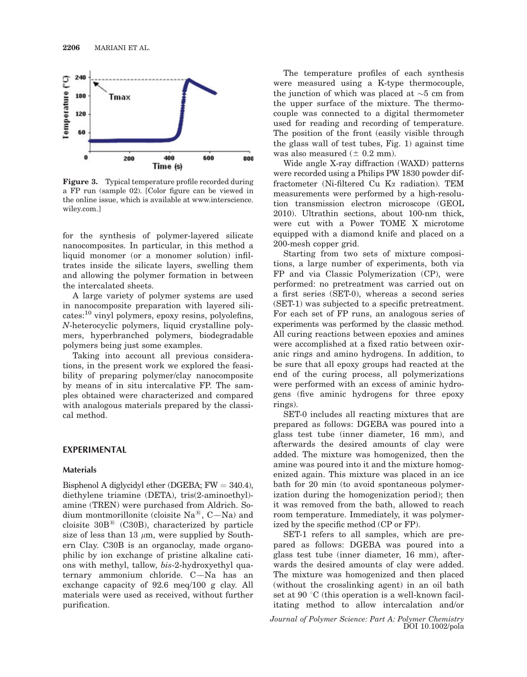

Figure 3. Typical temperature profile recorded during a FP run (sample 02). [Color figure can be viewed in the online issue, which is available at www.interscience. wiley.com.]

for the synthesis of polymer-layered silicate nanocomposites. In particular, in this method a liquid monomer (or a monomer solution) infiltrates inside the silicate layers, swelling them and allowing the polymer formation in between the intercalated sheets.

A large variety of polymer systems are used in nanocomposite preparation with layered sili- $\text{cates:}^{10}$  vinyl polymers, epoxy resins, polyolefins, N-heterocyclic polymers, liquid crystalline polymers, hyperbranched polymers, biodegradable polymers being just some examples.

Taking into account all previous considerations, in the present work we explored the feasibility of preparing polymer/clay nanocomposite by means of in situ intercalative FP. The samples obtained were characterized and compared with analogous materials prepared by the classical method.

## EXPERIMENTAL

#### Materials

Bisphenol A diglycidyl ether (DGEBA;  $FW = 340.4$ ), diethylene triamine (DETA), tris(2-aminoethyl) amine (TREN) were purchased from Aldrich. Sodium montmorillonite (cloisite  $\text{Na}^{\circledR}$ , C—Na) and cloisite  $30B^{\circledR}$  (C30B), characterized by particle size of less than 13  $\mu$ m, were supplied by Southern Clay. C30B is an organoclay, made organophilic by ion exchange of pristine alkaline cations with methyl, tallow, bis-2-hydroxyethyl quaternary ammonium chloride. C—Na has an exchange capacity of 92.6 meq/100 g clay. All materials were used as received, without further purification.

The temperature profiles of each synthesis were measured using a K-type thermocouple, the junction of which was placed at  $\sim$ 5 cm from the upper surface of the mixture. The thermocouple was connected to a digital thermometer used for reading and recording of temperature. The position of the front (easily visible through the glass wall of test tubes, Fig. 1) against time was also measured  $(\pm 0.2 \text{ mm})$ .

Wide angle X-ray diffraction (WAXD) patterns were recorded using a Philips PW 1830 powder diffractometer (Ni-filtered Cu Ka radiation). TEM measurements were performed by a high-resolution transmission electron microscope (GEOL 2010). Ultrathin sections, about 100-nm thick, were cut with a Power TOME X microtome equipped with a diamond knife and placed on a 200-mesh copper grid.

Starting from two sets of mixture compositions, a large number of experiments, both via FP and via Classic Polymerization (CP), were performed: no pretreatment was carried out on a first series (SET-0), whereas a second series (SET-1) was subjected to a specific pretreatment. For each set of FP runs, an analogous series of experiments was performed by the classic method. All curing reactions between epoxies and amines were accomplished at a fixed ratio between oxiranic rings and amino hydrogens. In addition, to be sure that all epoxy groups had reacted at the end of the curing process, all polymerizations were performed with an excess of aminic hydrogens (five aminic hydrogens for three epoxy rings).

SET-0 includes all reacting mixtures that are prepared as follows: DGEBA was poured into a glass test tube (inner diameter, 16 mm), and afterwards the desired amounts of clay were added. The mixture was homogenized, then the amine was poured into it and the mixture homogenized again. This mixture was placed in an ice bath for 20 min (to avoid spontaneous polymerization during the homogenization period); then it was removed from the bath, allowed to reach room temperature. Immediately, it was polymerized by the specific method (CP or FP).

SET-1 refers to all samples, which are prepared as follows: DGEBA was poured into a glass test tube (inner diameter, 16 mm), afterwards the desired amounts of clay were added. The mixture was homogenized and then placed (without the crosslinking agent) in an oil bath set at 90 $\degree$ C (this operation is a well-known facilitating method to allow intercalation and/or

Journal of Polymer Science: Part A: Polymer Chemistry DOI 10.1002/pola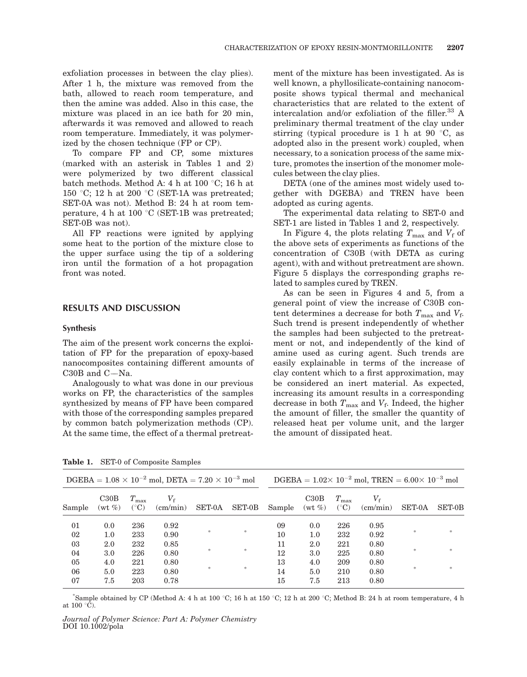exfoliation processes in between the clay plies). After 1 h, the mixture was removed from the bath, allowed to reach room temperature, and then the amine was added. Also in this case, the mixture was placed in an ice bath for 20 min, afterwards it was removed and allowed to reach room temperature. Immediately, it was polymerized by the chosen technique (FP or CP).

To compare FP and CP, some mixtures (marked with an asterisk in Tables 1 and 2) were polymerized by two different classical batch methods. Method A: 4 h at 100  $\degree$ C; 16 h at 150 °C; 12 h at 200 °C (SET-1A was pretreated; SET-0A was not). Method B: 24 h at room temperature, 4 h at 100  $\degree$ C (SET-1B was pretreated; SET-0B was not).

All FP reactions were ignited by applying some heat to the portion of the mixture close to the upper surface using the tip of a soldering iron until the formation of a hot propagation front was noted.

# RESULTS AND DISCUSSION

#### Synthesis

The aim of the present work concerns the exploitation of FP for the preparation of epoxy-based nanocomposites containing different amounts of C30B and  $C-Na$ .

Analogously to what was done in our previous works on FP, the characteristics of the samples synthesized by means of FP have been compared with those of the corresponding samples prepared by common batch polymerization methods (CP). At the same time, the effect of a thermal pretreatment of the mixture has been investigated. As is well known, a phyllosilicate-containing nanocomposite shows typical thermal and mechanical characteristics that are related to the extent of intercalation and/or exfoliation of the filler.<sup>33</sup> A preliminary thermal treatment of the clay under stirring (typical procedure is 1 h at 90 $\degree$ C, as adopted also in the present work) coupled, when necessary, to a sonication process of the same mixture, promotes the insertion of the monomer molecules between the clay plies.

DETA (one of the amines most widely used together with DGEBA) and TREN have been adopted as curing agents.

The experimental data relating to SET-0 and SET-1 are listed in Tables 1 and 2, respectively.

In Figure 4, the plots relating  $T_{\text{max}}$  and  $V_f$  of the above sets of experiments as functions of the concentration of C30B (with DETA as curing agent), with and without pretreatment are shown. Figure 5 displays the corresponding graphs related to samples cured by TREN.

As can be seen in Figures 4 and 5, from a general point of view the increase of C30B content determines a decrease for both  $T_{\text{max}}$  and  $V_f$ . Such trend is present independently of whether the samples had been subjected to the pretreatment or not, and independently of the kind of amine used as curing agent. Such trends are easily explainable in terms of the increase of clay content which to a first approximation, may be considered an inert material. As expected, increasing its amount results in a corresponding decrease in both  $T_{\text{max}}$  and  $V_f$ . Indeed, the higher the amount of filler, the smaller the quantity of released heat per volume unit, and the larger the amount of dissipated heat.

| $DGEBA = 1.08 \times 10^{-2}$ mol, $DETA = 7.20 \times 10^{-3}$ mol |                   |                                  |                                  |        |               | $DGEBA = 1.02 \times 10^{-2}$ mol, TREN = 6.00 \(\times\) 10 <sup>-3</sup> mol |                   |                                |                                       |               |               |  |
|---------------------------------------------------------------------|-------------------|----------------------------------|----------------------------------|--------|---------------|--------------------------------------------------------------------------------|-------------------|--------------------------------|---------------------------------------|---------------|---------------|--|
| Sample                                                              | C30B<br>$(wt \%)$ | $T_{\rm max}$<br>$({}^{\circ}C)$ | $V_{\rm f}$<br>$\text{(cm/min)}$ | SET-0A | <b>SET-0B</b> | Sample                                                                         | C30B<br>$(wt \%)$ | $T_{\rm max}$<br>$(^{\circ}C)$ | $V_{\mathsf{f}}$<br>$\text{(cm/min)}$ | <b>SET-0A</b> | <b>SET-0B</b> |  |
| 01<br>02                                                            | 0.0<br>1.0        | 236<br>233                       | 0.92<br>0.90                     | *      | *             | 09<br>10                                                                       | 0.0<br>1.0        | 226<br>232                     | 0.95<br>0.92                          | $\gg$         | *             |  |
| 03<br>04                                                            | 2.0<br>3.0        | 232<br>226                       | 0.85<br>0.80                     | *      | *             | 11<br>12                                                                       | 2.0<br>3.0        | 221<br>225                     | 0.80<br>0.80                          | $\gg$         | $\frac{1}{2}$ |  |
| 05<br>06<br>07                                                      | 4.0<br>5.0<br>7.5 | 221<br>223<br>203                | 0.80<br>0.80<br>0.78             | *      | $\ast$        | 13<br>14<br>15                                                                 | 4.0<br>5.0<br>7.5 | 209<br>210<br>213              | 0.80<br>0.80<br>0.80                  | $\gg$         | $\frac{1}{2}$ |  |

Table 1. SET-0 of Composite Samples

 $*$ Sample obtained by CP (Method A: 4 h at 100 °C; 16 h at 150 °C; 12 h at 200 °C; Method B: 24 h at room temperature, 4 h at  $100^{\circ}$ C).

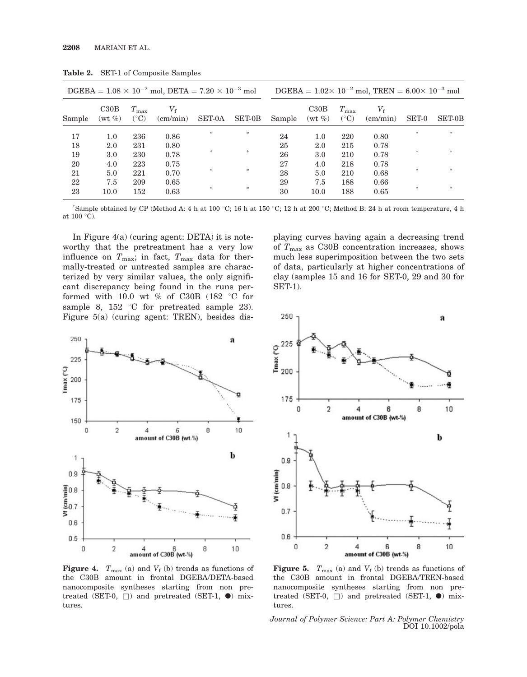| $DGEBA = 1.08 \times 10^{-2}$ mol, $DETA = 7.20 \times 10^{-3}$ mol |                   |                                |                                  |               | DGEBA = $1.02 \times 10^{-2}$ mol, TREN = $6.00 \times 10^{-3}$ mol |        |                      |                                |                                       |        |               |
|---------------------------------------------------------------------|-------------------|--------------------------------|----------------------------------|---------------|---------------------------------------------------------------------|--------|----------------------|--------------------------------|---------------------------------------|--------|---------------|
| Sample                                                              | C30B<br>$(wt \%)$ | $T_{\rm max}$<br>$(^{\circ}C)$ | $V_{\rm f}$<br>$\text{(cm/min)}$ | <b>SET-0A</b> | <b>SET-0B</b>                                                       | Sample | C30B<br>$(wt \, \%)$ | $T_{\rm max}$<br>$(^{\circ}C)$ | $V_{\mathsf{f}}$<br>$\text{(cm/min)}$ | SET-0  | <b>SET-0B</b> |
| 17                                                                  | 1.0               | 236                            | 0.86                             | *             | $\approx$                                                           | 24     | 1.0                  | 220                            | 0.80                                  | *      | $\ast$        |
| 18                                                                  | 2.0               | 231                            | 0.80                             |               |                                                                     | 25     | 2.0                  | 215                            | 0.78                                  |        |               |
| 19                                                                  | 3.0               | 230                            | 0.78                             | *             | *                                                                   | 26     | 3.0                  | 210                            | 0.78                                  | $\ast$ | $\ast$        |
| 20                                                                  | 4.0               | 223                            | 0.75                             |               |                                                                     | 27     | 4.0                  | 218                            | 0.78                                  |        |               |
| 21                                                                  | 5.0               | 221                            | 0.70                             | *             | $\approx$                                                           | 28     | 5.0                  | 210                            | 0.68                                  |        | *             |
| 22                                                                  | 7.5               | 209                            | 0.65                             |               |                                                                     | 29     | 7.5                  | 188                            | 0.66                                  |        |               |
| 23                                                                  | 10.0              | 152                            | 0.63                             | *             | *                                                                   | 30     | 10.0                 | 188                            | 0.65                                  | $\ast$ | $\ast$        |

Table 2. SET-1 of Composite Samples

"Sample obtained by CP (Method A: 4 h at 100 °C; 16 h at 150 °C; 12 h at 200 °C; Method B: 24 h at room temperature, 4 h at  $100 \degree \overline{C}$ ).

In Figure 4(a) (curing agent: DETA) it is noteworthy that the pretreatment has a very low influence on  $T_{\text{max}}$ ; in fact,  $T_{\text{max}}$  data for thermally-treated or untreated samples are characterized by very similar values, the only significant discrepancy being found in the runs performed with 10.0 wt % of C30B (182  $\degree$ C for sample 8, 152  $\degree$ C for pretreated sample 23). Figure 5(a) (curing agent: TREN), besides dis-



**Figure 4.**  $T_{\text{max}}$  (a) and  $V_f$  (b) trends as functions of the C30B amount in frontal DGEBA/DETA-based nanocomposite syntheses starting from non pretreated (SET-0,  $\Box$ ) and pretreated (SET-1,  $\bullet$ ) mixtures.

playing curves having again a decreasing trend of  $T_{\text{max}}$  as C30B concentration increases, shows much less superimposition between the two sets of data, particularly at higher concentrations of clay (samples 15 and 16 for SET-0, 29 and 30 for SET-1).



**Figure 5.**  $T_{\text{max}}$  (a) and  $V_f$  (b) trends as functions of the C30B amount in frontal DGEBA/TREN-based nanocomposite syntheses starting from non pretreated (SET-0,  $\Box$ ) and pretreated (SET-1,  $\bullet$ ) mixtures.

Journal of Polymer Science: Part A: Polymer Chemistry DOI 10.1002/pola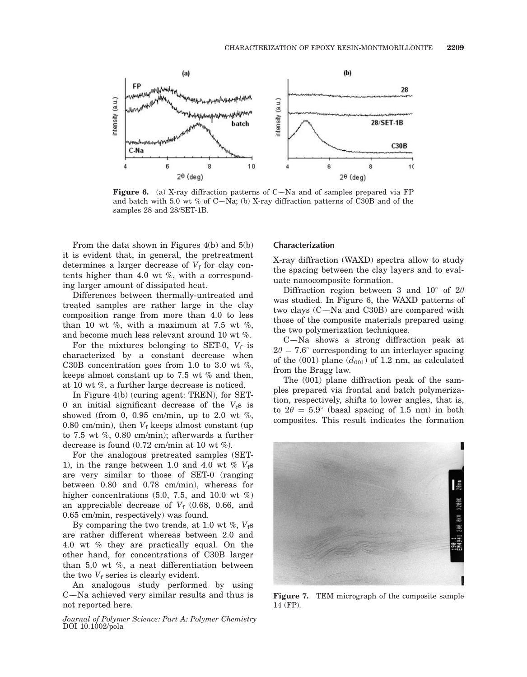

**Figure 6.** (a) X-ray diffraction patterns of  $C$ —Na and of samples prepared via FP and batch with 5.0 wt % of C-Na; (b) X-ray diffraction patterns of C30B and of the samples 28 and 28/SET-1B.

From the data shown in Figures 4(b) and 5(b) it is evident that, in general, the pretreatment determines a larger decrease of  $V_f$  for clay contents higher than 4.0 wt %, with a corresponding larger amount of dissipated heat.

Differences between thermally-untreated and treated samples are rather large in the clay composition range from more than 4.0 to less than 10 wt %, with a maximum at 7.5 wt %, and become much less relevant around 10 wt %.

For the mixtures belonging to SET-0,  $V_f$  is characterized by a constant decrease when C30B concentration goes from 1.0 to 3.0 wt  $\%$ , keeps almost constant up to 7.5 wt % and then, at 10 wt %, a further large decrease is noticed.

In Figure 4(b) (curing agent: TREN), for SET-0 an initial significant decrease of the  $V_f$ s is showed (from 0, 0.95 cm/min, up to 2.0 wt  $\%$ , 0.80 cm/min), then  $V_f$  keeps almost constant (up to 7.5 wt %, 0.80 cm/min); afterwards a further decrease is found (0.72 cm/min at 10 wt %).

For the analogous pretreated samples (SET-1), in the range between 1.0 and 4.0 wt  $\%$   $V_f$ s are very similar to those of SET-0 (ranging between 0.80 and 0.78 cm/min), whereas for higher concentrations  $(5.0, 7.5, \text{ and } 10.0 \text{ wt } \%)$ an appreciable decrease of  $V_f$  (0.68, 0.66, and 0.65 cm/min, respectively) was found.

By comparing the two trends, at 1.0 wt %,  $V_f$ s are rather different whereas between 2.0 and 4.0 wt % they are practically equal. On the other hand, for concentrations of C30B larger than 5.0 wt %, a neat differentiation between the two  $V_f$  series is clearly evident.

An analogous study performed by using C—Na achieved very similar results and thus is not reported here.

Journal of Polymer Science: Part A: Polymer Chemistry DOI 10.1002/pola

#### Characterization

X-ray diffraction (WAXD) spectra allow to study the spacing between the clay layers and to evaluate nanocomposite formation.

Diffraction region between 3 and 10 $^{\circ}$  of 2 $\theta$ was studied. In Figure 6, the WAXD patterns of two clays (C--Na and C30B) are compared with those of the composite materials prepared using the two polymerization techniques.

C--Na shows a strong diffraction peak at  $2\theta = 7.6^{\circ}$  corresponding to an interlayer spacing of the (001) plane  $(d_{001})$  of 1.2 nm, as calculated from the Bragg law.

The (001) plane diffraction peak of the samples prepared via frontal and batch polymerization, respectively, shifts to lower angles, that is, to  $2\theta = 5.9^{\circ}$  (basal spacing of 1.5 nm) in both composites. This result indicates the formation



Figure 7. TEM micrograph of the composite sample 14 (FP).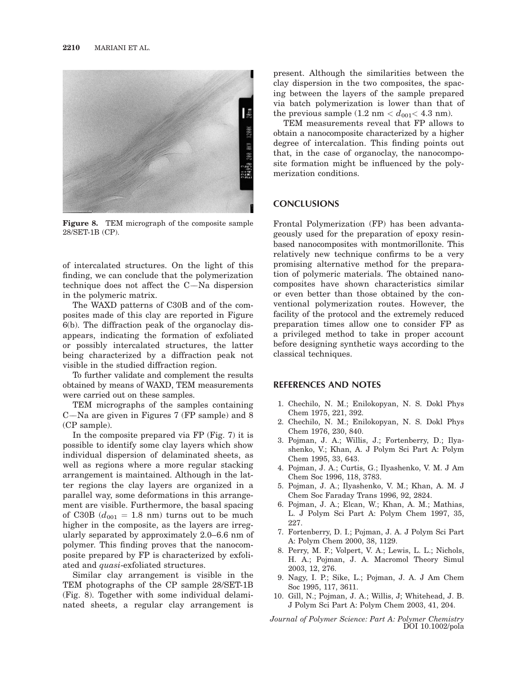

Figure 8. TEM micrograph of the composite sample 28/SET-1B (CP).

of intercalated structures. On the light of this finding, we can conclude that the polymerization technique does not affect the C—Na dispersion in the polymeric matrix.

The WAXD patterns of C30B and of the composites made of this clay are reported in Figure 6(b). The diffraction peak of the organoclay disappears, indicating the formation of exfoliated or possibly intercalated structures, the latter being characterized by a diffraction peak not visible in the studied diffraction region.

To further validate and complement the results obtained by means of WAXD, TEM measurements were carried out on these samples.

TEM micrographs of the samples containing C--Na are given in Figures 7 (FP sample) and 8 (CP sample).

In the composite prepared via FP (Fig. 7) it is possible to identify some clay layers which show individual dispersion of delaminated sheets, as well as regions where a more regular stacking arrangement is maintained. Although in the latter regions the clay layers are organized in a parallel way, some deformations in this arrangement are visible. Furthermore, the basal spacing of C30B  $(d_{001} = 1.8 \text{ nm})$  turns out to be much higher in the composite, as the layers are irregularly separated by approximately 2.0–6.6 nm of polymer. This finding proves that the nanocomposite prepared by FP is characterized by exfoliated and quasi-exfoliated structures.

Similar clay arrangement is visible in the TEM photographs of the CP sample 28/SET-1B (Fig. 8). Together with some individual delaminated sheets, a regular clay arrangement is present. Although the similarities between the clay dispersion in the two composites, the spacing between the layers of the sample prepared via batch polymerization is lower than that of the previous sample  $(1.2 \text{ nm} < d_{001} < 4.3 \text{ nm})$ .

TEM measurements reveal that FP allows to obtain a nanocomposite characterized by a higher degree of intercalation. This finding points out that, in the case of organoclay, the nanocomposite formation might be influenced by the polymerization conditions.

### **CONCLUSIONS**

Frontal Polymerization (FP) has been advantageously used for the preparation of epoxy resinbased nanocomposites with montmorillonite. This relatively new technique confirms to be a very promising alternative method for the preparation of polymeric materials. The obtained nanocomposites have shown characteristics similar or even better than those obtained by the conventional polymerization routes. However, the facility of the protocol and the extremely reduced preparation times allow one to consider FP as a privileged method to take in proper account before designing synthetic ways according to the classical techniques.

#### REFERENCES AND NOTES

- 1. Chechilo, N. M.; Enilokopyan, N. S. Dokl Phys Chem 1975, 221, 392.
- 2. Chechilo, N. M.; Enilokopyan, N. S. Dokl Phys Chem 1976, 230, 840.
- 3. Pojman, J. A.; Willis, J.; Fortenberry, D.; Ilyashenko, V.; Khan, A. J Polym Sci Part A: Polym Chem 1995, 33, 643.
- 4. Pojman, J. A.; Curtis, G.; Ilyashenko, V. M. J Am Chem Soc 1996, 118, 3783.
- 5. Pojman, J. A.; Ilyashenko, V. M.; Khan, A. M. J Chem Soc Faraday Trans 1996, 92, 2824.
- 6. Pojman, J. A.; Elcan, W.; Khan, A. M.; Mathias, L. J Polym Sci Part A: Polym Chem 1997, 35, 227.
- 7. Fortenberry, D. I.; Pojman, J. A. J Polym Sci Part A: Polym Chem 2000, 38, 1129.
- 8. Perry, M. F.; Volpert, V. A.; Lewis, L. L.; Nichols, H. A.; Pojman, J. A. Macromol Theory Simul 2003, 12, 276.
- 9. Nagy, I. P.; Sike, L.; Pojman, J. A. J Am Chem Soc 1995, 117, 3611.
- 10. Gill, N.; Pojman, J. A.; Willis, J; Whitehead, J. B. J Polym Sci Part A: Polym Chem 2003, 41, 204.

Journal of Polymer Science: Part A: Polymer Chemistry DOI 10.1002/pola